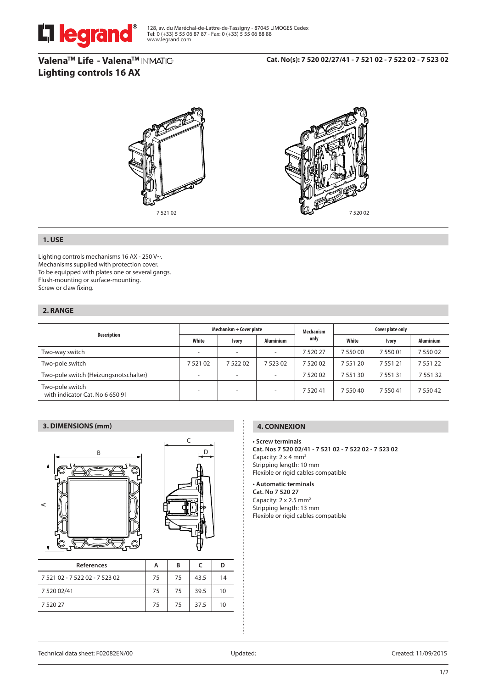

128, av. du Maréchal-de-Lattre-de-Tassigny - 87045 LIMOGES Cedex Tel: 0 (+33) 5 55 06 87 87 - Fax: 0 (+33) 5 55 06 88 88 www.legrand.com

**ValenaTM Life - ValenaTM Lighting controls 16 AX**

7 520 02



# **1. USE**

Lighting controls mechanisms 16 AX - 250 V~. Mechanisms supplied with protection cover. To be equipped with plates one or several gangs. Flush-mounting or surface-mounting. Screw or claw fixing.

# **2. RANGE**

| <b>Description</b>                                 | Mechanism + Cover plate |              |                          | <b>Mechanism</b> | Cover plate only |          |                  |
|----------------------------------------------------|-------------------------|--------------|--------------------------|------------------|------------------|----------|------------------|
|                                                    | White                   | <b>Ivory</b> | <b>Aluminium</b>         | only             | White            | Ivory    | <b>Aluminium</b> |
| Two-way switch                                     | ۰                       | -            | ۰                        | 7 520 27         | 7 550 00         | 7 550 01 | 7 550 02         |
| Two-pole switch                                    | 752102                  | 752202       | 7 523 02                 | 7 520 02         | 7 551 20         | 7 551 21 | 7 5 5 1 2 2      |
| Two-pole switch (Heizungsnotschalter)              | -                       | -            | -                        | 7 520 02         | 7 551 30         | 7 551 31 | 7 551 32         |
| Two-pole switch<br>with indicator Cat. No 6 650 91 | -                       | -            | $\overline{\phantom{a}}$ | 7 5 2 0 4 1      | 7 550 40         | 7 550 41 | 7 550 42         |

## **3. DIMENSIONS (mm)**



| References                     | А  | B  |      | D  |
|--------------------------------|----|----|------|----|
| 7 521 02 - 7 522 02 - 7 523 02 | 75 | 75 | 43.5 | 14 |
| 7 5 20 0 2/41                  | 75 | 75 | 39.5 | 10 |
| 7 5 2 0 2 7                    | 75 | 75 | 37.5 | 10 |

## **4. CONNEXION**

### **• Screw terminals**

**Cat. Nos 7 520 02/41 - 7 521 02 - 7 522 02 - 7 523 02** Capacity: 2 x 4 mm2 Stripping length: 10 mm Flexible or rigid cables compatible

### **• Automatic terminals**

**Cat. No 7 520 27** Capacity: 2 x 2.5 mm<sup>2</sup> Stripping length: 13 mm Flexible or rigid cables compatible